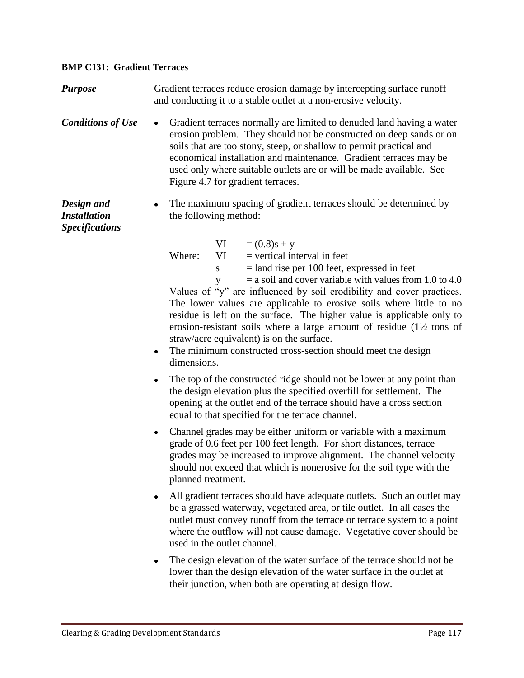## **BMP C131: Gradient Terraces**

**Purpose** Gradient terraces reduce erosion damage by intercepting surface runoff and conducting it to a stable outlet at a non-erosive velocity.

- **Conditions of Use** Gradient terraces normally are limited to denuded land having a water erosion problem. They should not be constructed on deep sands or on soils that are too stony, steep, or shallow to permit practical and economical installation and maintenance. Gradient terraces may be used only where suitable outlets are or will be made available. See Figure 4.7 for gradient terraces.
- *Design and Installation*  • The maximum spacing of gradient terraces should be determined by the following method:

*Specifications*

| VI.                                                                   |  |
|-----------------------------------------------------------------------|--|
| $= (0.8)$ s + y                                                       |  |
| $=$ vertical interval in feet<br>Where:<br>VI.                        |  |
| $=$ land rise per 100 feet, expressed in feet<br>S                    |  |
| $=$ a soil and cover variable with values from 1.0 to 4.0             |  |
| Values of "y" are influenced by soil erodibility and cover practices. |  |

The lower values are applicable to erosive soils where little to no residue is left on the surface. The higher value is applicable only to erosion-resistant soils where a large amount of residue (1½ tons of straw/acre equivalent) is on the surface.

- The minimum constructed cross-section should meet the design dimensions.
- The top of the constructed ridge should not be lower at any point than the design elevation plus the specified overfill for settlement. The opening at the outlet end of the terrace should have a cross section equal to that specified for the terrace channel.
- Channel grades may be either uniform or variable with a maximum grade of 0.6 feet per 100 feet length. For short distances, terrace grades may be increased to improve alignment. The channel velocity should not exceed that which is nonerosive for the soil type with the planned treatment.
- All gradient terraces should have adequate outlets. Such an outlet may be a grassed waterway, vegetated area, or tile outlet. In all cases the outlet must convey runoff from the terrace or terrace system to a point where the outflow will not cause damage. Vegetative cover should be used in the outlet channel.
- The design elevation of the water surface of the terrace should not be lower than the design elevation of the water surface in the outlet at their junction, when both are operating at design flow.